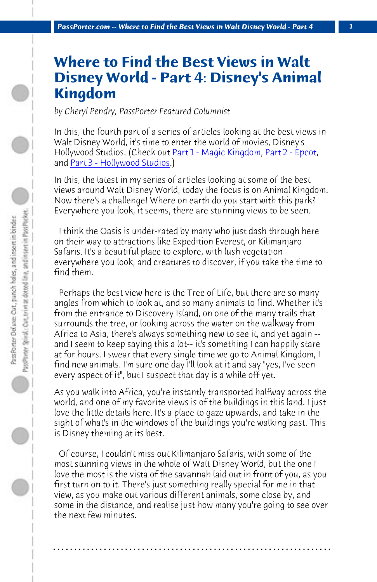*PassPorter.com -- Where to Find the Best Views in Walt Disney World - Part 4 1*

## **Where to Find the Best Views in Walt Disney World - Part 4: Disney's Animal Kingdom**

*by Cheryl Pendry, PassPorter Featured Columnist*

In this, the fourth part of a series of articles looking at the best views in Walt Disney World, it's time to enter the world of movies, Disney's Hollywood Studios. (Check out Part 1 - Magic Kingdom, Part 2 - Epcot, and Part 3 - Hollywood Studios.)

In this, the latest in my series of articles looking at some of the best views around Walt Disney World, today the focus is on Animal Kingdom. Now there's a challenge! Where on earth do you start with this park? Everywhere you look, it seems, there are stunning views to be seen.

 I think the Oasis is under-rated by many who just dash through here on their way to attractions like Expedition Everest, or Kilimanjaro Safaris. It's a beautiful place to explore, with lush vegetation everywhere you look, and creatures to discover, if you take the time to find them.

 Perhaps the best view here is the Tree of Life, but there are so many angles from which to look at, and so many animals to find. Whether it's from the entrance to Discovery Island, on one of the many trails that surrounds the tree, or looking across the water on the walkway from Africa to Asia, there's always something new to see it, and yet again - and I seem to keep saying this a lot-- it's something I can happily stare at for hours. I swear that every single time we go to Animal Kingdom, I find new animals. I'm sure one day I'll look at it and say "yes, I've seen every aspect of it", but I suspect that day is a while off yet.

As you walk into Africa, you're instantly transported halfway across the world, and one of my favorite views is of the buildings in this land. I just love the little details here. It's a place to gaze upwards, and take in the sight of what's in the windows of the buildings you're walking past. This is Disney theming at its best.

 Of course, I couldn't miss out Kilimanjaro Safaris, with some of the most stunning views in the whole of Walt Disney World, but the one I love the most is the vista of the savannah laid out in front of you, as you first turn on to it. There's just something really special for me in that view, as you make out various different animals, some close by, and some in the distance, and realise just how many you're going to see over the next few minutes.

**. . . . . . . . . . . . . . . . . . . . . . . . . . . . . . . . . . . . . . . . . . . . . . . . . . . . . . . . . . . . . . . . . .**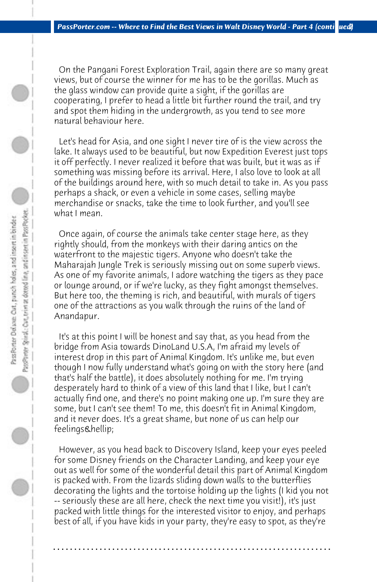On the Pangani Forest Exploration Trail, again there are so many great views, but of course the winner for me has to be the gorillas. Much as the glass window can provide quite a sight, if the gorillas are cooperating, I prefer to head a little bit further round the trail, and try and spot them hiding in the undergrowth, as you tend to see more natural behaviour here.

 Let's head for Asia, and one sight I never tire of is the view across the lake. It always used to be beautiful, but now Expedition Everest just tops it off perfectly. I never realized it before that was built, but it was as if something was missing before its arrival. Here, I also love to look at all of the buildings around here, with so much detail to take in. As you pass perhaps a shack, or even a vehicle in some cases, selling maybe merchandise or snacks, take the time to look further, and you'll see what I mean.

 Once again, of course the animals take center stage here, as they rightly should, from the monkeys with their daring antics on the waterfront to the majestic tigers. Anyone who doesn't take the Maharajah Jungle Trek is seriously missing out on some superb views. As one of my favorite animals, I adore watching the tigers as they pace or lounge around, or if we're lucky, as they fight amongst themselves. But here too, the theming is rich, and beautiful, with murals of tigers one of the attractions as you walk through the ruins of the land of Anandapur.

 It's at this point I will be honest and say that, as you head from the bridge from Asia towards DinoLand U.S.A, I'm afraid my levels of interest drop in this part of Animal Kingdom. It's unlike me, but even though I now fully understand what's going on with the story here (and that's half the battle), it does absolutely nothing for me. I'm trying desperately hard to think of a view of this land that I like, but I can't actually find one, and there's no point making one up. I'm sure they are some, but I can't see them! To me, this doesn't fit in Animal Kingdom, and it never does. It's a great shame, but none of us can help our feelings…

 However, as you head back to Discovery Island, keep your eyes peeled for some Disney friends on the Character Landing, and keep your eye out as well for some of the wonderful detail this part of Animal Kingdom is packed with. From the lizards sliding down walls to the butterflies decorating the lights and the tortoise holding up the lights (I kid you not -- seriously these are all here, check the next time you visit!), it's just packed with little things for the interested visitor to enjoy, and perhaps best of all, if you have kids in your party, they're easy to spot, as they're

**. . . . . . . . . . . . . . . . . . . . . . . . . . . . . . . . . . . . . . . . . . . . . . . . . . . . . . . . . . . . . . . . . .**